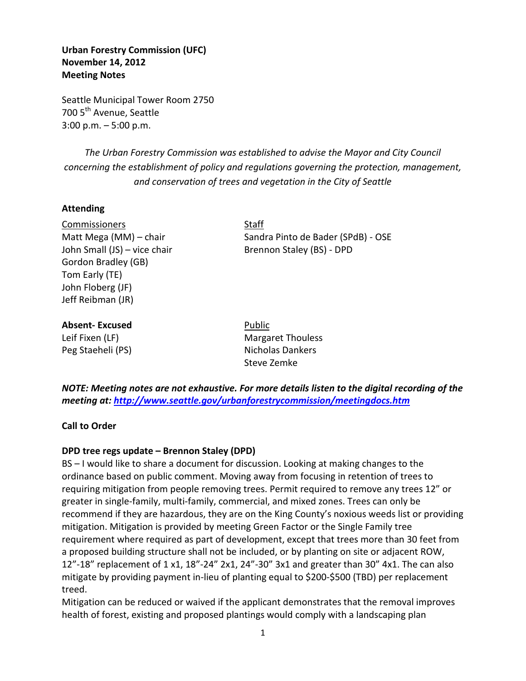**Urban Forestry Commission (UFC) November 14, 2012 Meeting Notes** 

Seattle Municipal Tower Room 2750 700 5<sup>th</sup> Avenue, Seattle 3:00 p.m. – 5:00 p.m.

*The Urban Forestry Commission was established to advise the Mayor and City Council concerning the establishment of policy and regulations governing the protection, management, and conservation of trees and vegetation in the City of Seattle*

### **Attending**

Commissioners Staff John Small (JS) – vice chair Brennon Staley (BS) - DPD Gordon Bradley (GB) Tom Early (TE) John Floberg (JF) Jeff Reibman (JR)

Matt Mega (MM) – chair Sandra Pinto de Bader (SPdB) - OSE

### **Absent-Excused** Public

Leif Fixen (LF) Margaret Thouless Peg Staeheli (PS) Nicholas Dankers Steve Zemke

*NOTE: Meeting notes are not exhaustive. For more details listen to the digital recording of the meeting at:<http://www.seattle.gov/urbanforestrycommission/meetingdocs.htm>*

**Call to Order**

### **DPD tree regs update – Brennon Staley (DPD)**

BS – I would like to share a document for discussion. Looking at making changes to the ordinance based on public comment. Moving away from focusing in retention of trees to requiring mitigation from people removing trees. Permit required to remove any trees 12" or greater in single-family, multi-family, commercial, and mixed zones. Trees can only be recommend if they are hazardous, they are on the King County's noxious weeds list or providing mitigation. Mitigation is provided by meeting Green Factor or the Single Family tree requirement where required as part of development, except that trees more than 30 feet from a proposed building structure shall not be included, or by planting on site or adjacent ROW, 12"-18" replacement of 1 x1, 18"-24" 2x1, 24"-30" 3x1 and greater than 30" 4x1. The can also mitigate by providing payment in-lieu of planting equal to \$200-\$500 (TBD) per replacement treed.

Mitigation can be reduced or waived if the applicant demonstrates that the removal improves health of forest, existing and proposed plantings would comply with a landscaping plan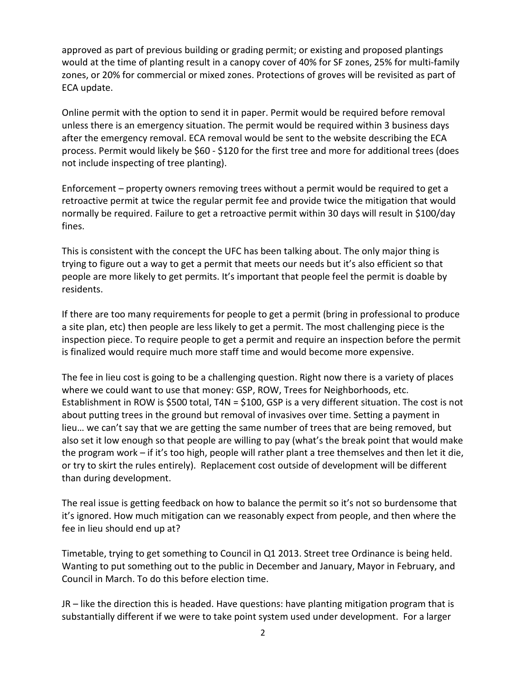approved as part of previous building or grading permit; or existing and proposed plantings would at the time of planting result in a canopy cover of 40% for SF zones, 25% for multi-family zones, or 20% for commercial or mixed zones. Protections of groves will be revisited as part of ECA update.

Online permit with the option to send it in paper. Permit would be required before removal unless there is an emergency situation. The permit would be required within 3 business days after the emergency removal. ECA removal would be sent to the website describing the ECA process. Permit would likely be \$60 - \$120 for the first tree and more for additional trees (does not include inspecting of tree planting).

Enforcement – property owners removing trees without a permit would be required to get a retroactive permit at twice the regular permit fee and provide twice the mitigation that would normally be required. Failure to get a retroactive permit within 30 days will result in \$100/day fines.

This is consistent with the concept the UFC has been talking about. The only major thing is trying to figure out a way to get a permit that meets our needs but it's also efficient so that people are more likely to get permits. It's important that people feel the permit is doable by residents.

If there are too many requirements for people to get a permit (bring in professional to produce a site plan, etc) then people are less likely to get a permit. The most challenging piece is the inspection piece. To require people to get a permit and require an inspection before the permit is finalized would require much more staff time and would become more expensive.

The fee in lieu cost is going to be a challenging question. Right now there is a variety of places where we could want to use that money: GSP, ROW, Trees for Neighborhoods, etc. Establishment in ROW is \$500 total, T4N = \$100, GSP is a very different situation. The cost is not about putting trees in the ground but removal of invasives over time. Setting a payment in lieu… we can't say that we are getting the same number of trees that are being removed, but also set it low enough so that people are willing to pay (what's the break point that would make the program work – if it's too high, people will rather plant a tree themselves and then let it die, or try to skirt the rules entirely). Replacement cost outside of development will be different than during development.

The real issue is getting feedback on how to balance the permit so it's not so burdensome that it's ignored. How much mitigation can we reasonably expect from people, and then where the fee in lieu should end up at?

Timetable, trying to get something to Council in Q1 2013. Street tree Ordinance is being held. Wanting to put something out to the public in December and January, Mayor in February, and Council in March. To do this before election time.

JR – like the direction this is headed. Have questions: have planting mitigation program that is substantially different if we were to take point system used under development. For a larger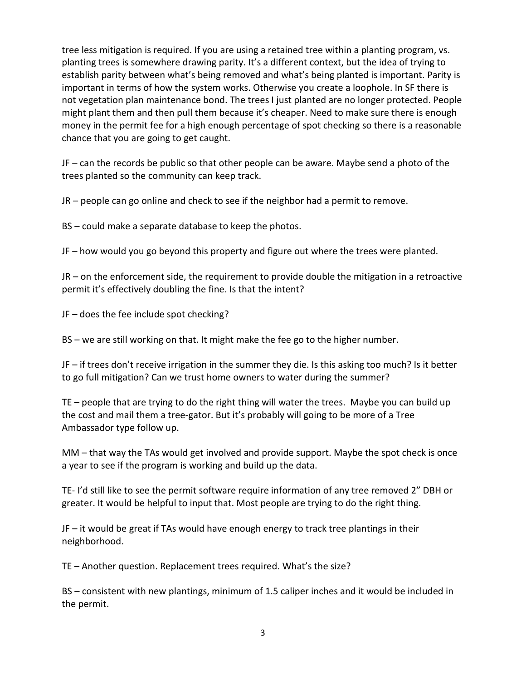tree less mitigation is required. If you are using a retained tree within a planting program, vs. planting trees is somewhere drawing parity. It's a different context, but the idea of trying to establish parity between what's being removed and what's being planted is important. Parity is important in terms of how the system works. Otherwise you create a loophole. In SF there is not vegetation plan maintenance bond. The trees I just planted are no longer protected. People might plant them and then pull them because it's cheaper. Need to make sure there is enough money in the permit fee for a high enough percentage of spot checking so there is a reasonable chance that you are going to get caught.

JF – can the records be public so that other people can be aware. Maybe send a photo of the trees planted so the community can keep track.

JR – people can go online and check to see if the neighbor had a permit to remove.

BS – could make a separate database to keep the photos.

JF – how would you go beyond this property and figure out where the trees were planted.

JR – on the enforcement side, the requirement to provide double the mitigation in a retroactive permit it's effectively doubling the fine. Is that the intent?

JF – does the fee include spot checking?

BS – we are still working on that. It might make the fee go to the higher number.

JF – if trees don't receive irrigation in the summer they die. Is this asking too much? Is it better to go full mitigation? Can we trust home owners to water during the summer?

TE – people that are trying to do the right thing will water the trees. Maybe you can build up the cost and mail them a tree-gator. But it's probably will going to be more of a Tree Ambassador type follow up.

MM – that way the TAs would get involved and provide support. Maybe the spot check is once a year to see if the program is working and build up the data.

TE- I'd still like to see the permit software require information of any tree removed 2" DBH or greater. It would be helpful to input that. Most people are trying to do the right thing.

JF – it would be great if TAs would have enough energy to track tree plantings in their neighborhood.

TE – Another question. Replacement trees required. What's the size?

BS – consistent with new plantings, minimum of 1.5 caliper inches and it would be included in the permit.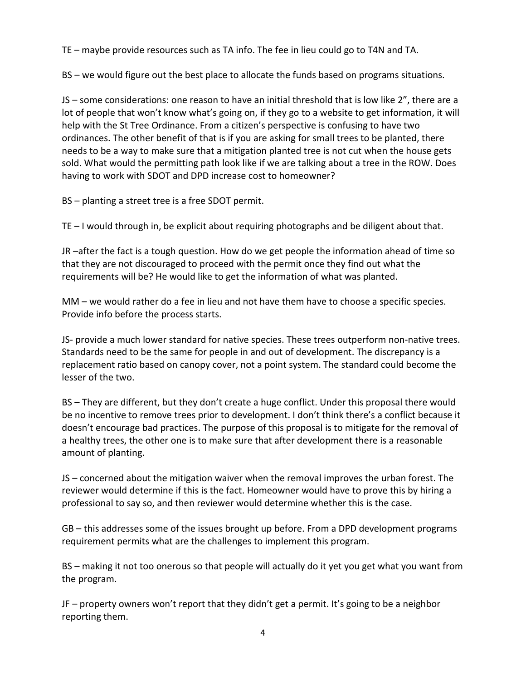TE – maybe provide resources such as TA info. The fee in lieu could go to T4N and TA.

BS – we would figure out the best place to allocate the funds based on programs situations.

JS – some considerations: one reason to have an initial threshold that is low like 2", there are a lot of people that won't know what's going on, if they go to a website to get information, it will help with the St Tree Ordinance. From a citizen's perspective is confusing to have two ordinances. The other benefit of that is if you are asking for small trees to be planted, there needs to be a way to make sure that a mitigation planted tree is not cut when the house gets sold. What would the permitting path look like if we are talking about a tree in the ROW. Does having to work with SDOT and DPD increase cost to homeowner?

BS – planting a street tree is a free SDOT permit.

TE – I would through in, be explicit about requiring photographs and be diligent about that.

JR –after the fact is a tough question. How do we get people the information ahead of time so that they are not discouraged to proceed with the permit once they find out what the requirements will be? He would like to get the information of what was planted.

MM – we would rather do a fee in lieu and not have them have to choose a specific species. Provide info before the process starts.

JS- provide a much lower standard for native species. These trees outperform non-native trees. Standards need to be the same for people in and out of development. The discrepancy is a replacement ratio based on canopy cover, not a point system. The standard could become the lesser of the two.

BS – They are different, but they don't create a huge conflict. Under this proposal there would be no incentive to remove trees prior to development. I don't think there's a conflict because it doesn't encourage bad practices. The purpose of this proposal is to mitigate for the removal of a healthy trees, the other one is to make sure that after development there is a reasonable amount of planting.

JS – concerned about the mitigation waiver when the removal improves the urban forest. The reviewer would determine if this is the fact. Homeowner would have to prove this by hiring a professional to say so, and then reviewer would determine whether this is the case.

GB – this addresses some of the issues brought up before. From a DPD development programs requirement permits what are the challenges to implement this program.

BS – making it not too onerous so that people will actually do it yet you get what you want from the program.

JF – property owners won't report that they didn't get a permit. It's going to be a neighbor reporting them.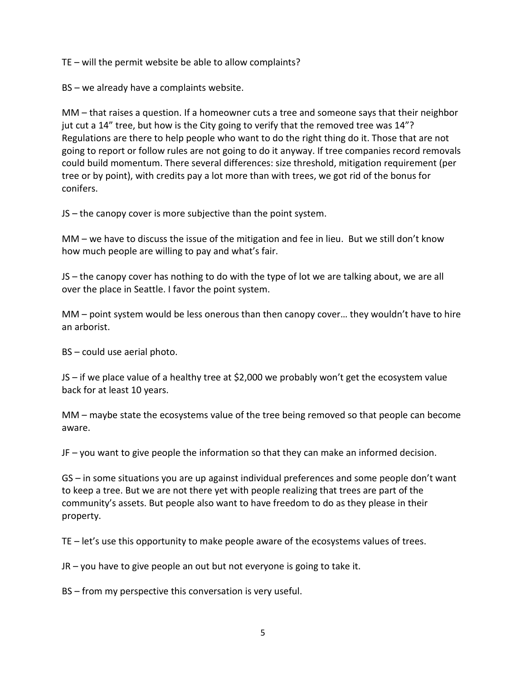TE – will the permit website be able to allow complaints?

BS – we already have a complaints website.

MM – that raises a question. If a homeowner cuts a tree and someone says that their neighbor jut cut a 14" tree, but how is the City going to verify that the removed tree was 14"? Regulations are there to help people who want to do the right thing do it. Those that are not going to report or follow rules are not going to do it anyway. If tree companies record removals could build momentum. There several differences: size threshold, mitigation requirement (per tree or by point), with credits pay a lot more than with trees, we got rid of the bonus for conifers.

JS – the canopy cover is more subjective than the point system.

MM – we have to discuss the issue of the mitigation and fee in lieu. But we still don't know how much people are willing to pay and what's fair.

JS – the canopy cover has nothing to do with the type of lot we are talking about, we are all over the place in Seattle. I favor the point system.

MM – point system would be less onerous than then canopy cover… they wouldn't have to hire an arborist.

BS – could use aerial photo.

JS – if we place value of a healthy tree at \$2,000 we probably won't get the ecosystem value back for at least 10 years.

MM – maybe state the ecosystems value of the tree being removed so that people can become aware.

JF – you want to give people the information so that they can make an informed decision.

GS – in some situations you are up against individual preferences and some people don't want to keep a tree. But we are not there yet with people realizing that trees are part of the community's assets. But people also want to have freedom to do as they please in their property.

TE – let's use this opportunity to make people aware of the ecosystems values of trees.

JR – you have to give people an out but not everyone is going to take it.

BS – from my perspective this conversation is very useful.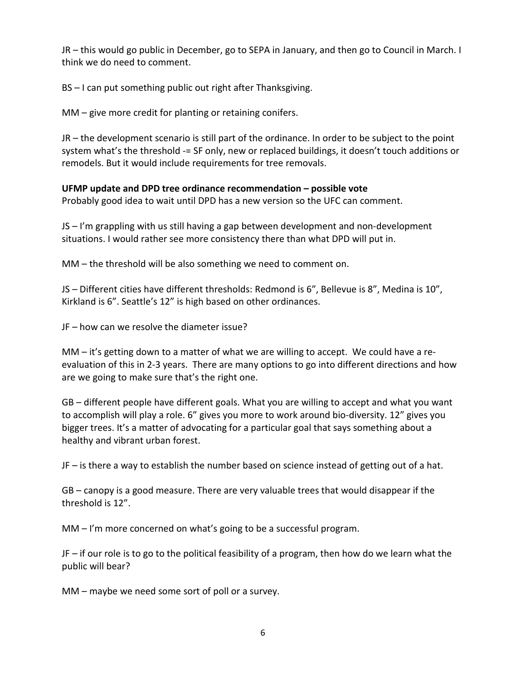JR – this would go public in December, go to SEPA in January, and then go to Council in March. I think we do need to comment.

BS – I can put something public out right after Thanksgiving.

MM – give more credit for planting or retaining conifers.

JR – the development scenario is still part of the ordinance. In order to be subject to the point system what's the threshold -= SF only, new or replaced buildings, it doesn't touch additions or remodels. But it would include requirements for tree removals.

# **UFMP update and DPD tree ordinance recommendation – possible vote**

Probably good idea to wait until DPD has a new version so the UFC can comment.

JS – I'm grappling with us still having a gap between development and non-development situations. I would rather see more consistency there than what DPD will put in.

MM – the threshold will be also something we need to comment on.

JS – Different cities have different thresholds: Redmond is 6", Bellevue is 8", Medina is 10", Kirkland is 6". Seattle's 12" is high based on other ordinances.

JF – how can we resolve the diameter issue?

MM – it's getting down to a matter of what we are willing to accept. We could have a reevaluation of this in 2-3 years. There are many options to go into different directions and how are we going to make sure that's the right one.

GB – different people have different goals. What you are willing to accept and what you want to accomplish will play a role. 6" gives you more to work around bio-diversity. 12" gives you bigger trees. It's a matter of advocating for a particular goal that says something about a healthy and vibrant urban forest.

JF – is there a way to establish the number based on science instead of getting out of a hat.

GB – canopy is a good measure. There are very valuable trees that would disappear if the threshold is 12".

MM – I'm more concerned on what's going to be a successful program.

JF – if our role is to go to the political feasibility of a program, then how do we learn what the public will bear?

MM – maybe we need some sort of poll or a survey.